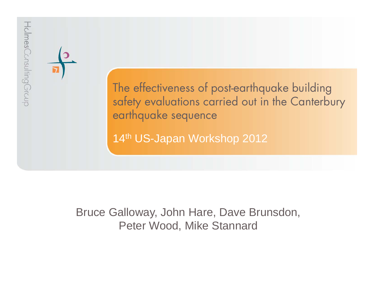

### Bruce Galloway, John Hare, Dave Brunsdon, Peter Wood, Mike Stannard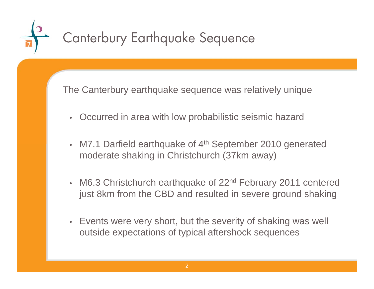# Canterbury Earthquake Sequence

The Canterbury earthquake sequence was relatively unique

- •Occurred in area with low probabilistic seismic hazard
- M7.1 Darfield earthquake of 4<sup>th</sup> September 2010 generated moderate shaking in Christchurch (37km away)
- M6.3 Christchurch earthquake of 22<sup>nd</sup> February 2011 centered just 8km from the CBD and resulted in severe ground shaking
- Events were very short, but the severity of shaking was well outside expectations of typical aftershock sequences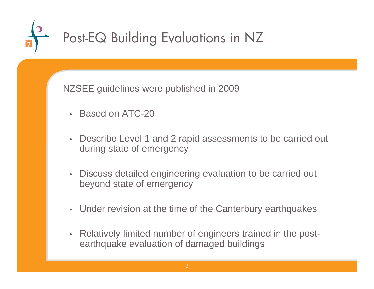

NZSEE guidelines were published in 2009

- •Based on ATC-20
- • Describe Level 1 and 2 rapid assessments to be carried out during state of emergency
- $\bullet$  Discuss detailed engineering evaluation to be carried out beyond state of emergency
- Under revision at the time of the Canterbury earthquakes
- • Relatively limited number of engineers trained in the postearthquake evaluation of damaged buildings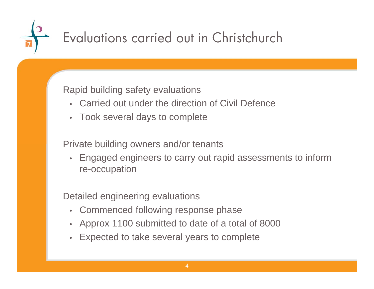## Evaluations carried out in Christchurch

### Rapid building safety evaluations

- Carried out under the direction of Civil Defence
- Took several days to complete

Private building owners and/or tenants

• Engaged engineers to carry out rapid assessments to inform re-occupation

Detailed engineering evaluations

- Commenced following response phase
- Approx 1100 submitted to date of a total of 8000
- •Expected to take several years to complete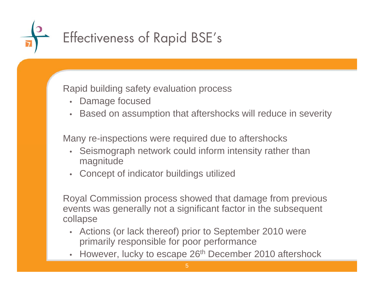# Effectiveness of Rapid BSE's

Rapid building safety evaluation process

- Damage focused
- •Based on assumption that aftershocks will reduce in severity

Many re-inspections were required due to aftershocks

- Seismograph network could inform intensity rather than magnitude
- Concept of indicator buildings utilized

Royal Commission process showed that damage from previous events was generally not a significant factor in the subsequent collapse

- Actions (or lack thereof) prior to September 2010 were primarily responsible for poor performance
- However, lucky to escape 26<sup>th</sup> December 2010 aftershock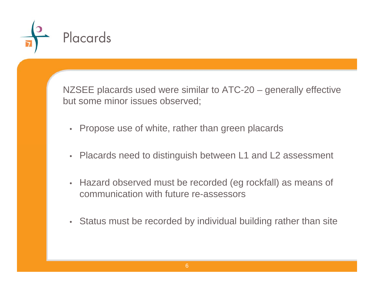

NZSEE placards used were similar to ATC-20 – generally effective but some minor issues observed;

- Propose use of white, rather than green placards
- Placards need to distinguish between L1 and L2 assessment
- Hazard observed must be recorded (eg rockfall) as means of communication with future re-assessors
- Status must be recorded by individual building rather than site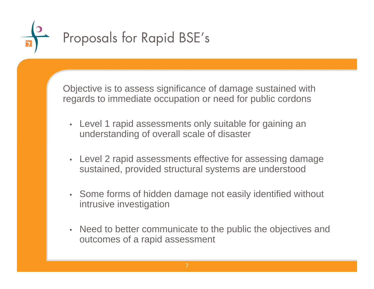

Objective is to assess significance of damage sustained with regards to immediate occupation or need for public cordons

- Level 1 rapid assessments only suitable for gaining an understanding of overall scale of disaster
- Level 2 rapid assessments effective for assessing damage sustained, provided structural systems are understood
- Some forms of hidden damage not easily identified without intrusive investigation
- Need to better communicate to the public the objectives and outcomes of a rapid assessment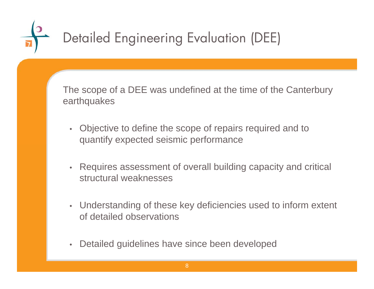

The scope of a DEE was undefined at the time of the Canterbury earthquakes

- Objective to define the scope of repairs required and to quantify expected seismic performance
- Requires assessment of overall building capacity and critical structural weaknesses
- Understanding of these key deficiencies used to inform extent of detailed observations
- Detailed guidelines have since been developed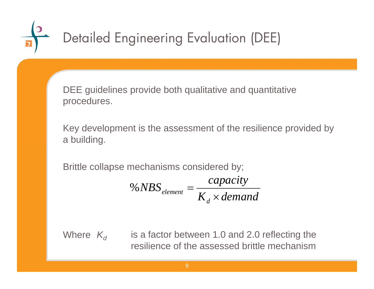# Detailed Engineering Evaluation (DEE)

DEE guidelines provide both qualitative and quantitative procedures.

Key development is the assessment of the resilience provided by a building.

Brittle collapse mechanisms considered by;

 $K_{d} \times demand$  $NBS_{element} = \frac{capacity}{}$ *d* $_{element}$   $^{-}$   $_{K_{\scriptscriptstyle A}}$   $\times$ %  $NBS_{slum}$  =

Where  $\ K_{d}$  is a factor between 1.0 and 2.0 reflecting the resilience of the assessed brittle mechanism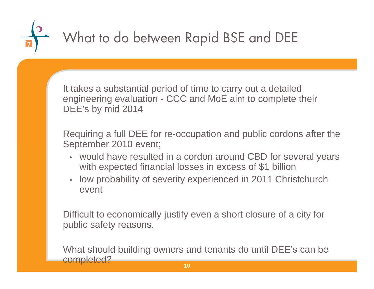### What to do between Rapid BSE and DEE

It takes a substantial period of time to carry out a detailed engineering evaluation - CCC and MoE aim to complete their DEE's by mid 2014

Requiring a full DEE for re-occupation and public cordons after the September 2010 event;

- would have resulted in a cordon around CBD for several years with expected financial losses in excess of \$1 billion
- • low probability of severity experienced in 2011 Christchurch event

Difficult to economically justify even a short closure of a city for public safety reasons.

What should building owners and tenants do until DEE's can be completed?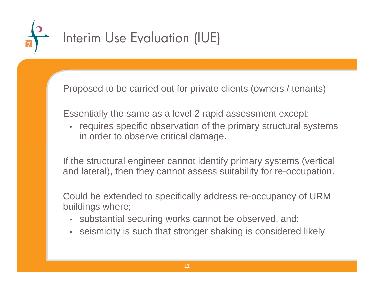

## Interim Use Evaluation (IUE)

Proposed to be carried out for private clients (owners / tenants)

Essentially the same as a level 2 rapid assessment except;

• requires specific observation of the primary structural systems in order to observe critical damage.

If the structural engineer cannot identify primary systems (vertical and lateral), then they cannot assess suitability for re-occupation.

Could be extended to specifically address re-occupancy of URM buildings where;

- substantial securing works cannot be observed, and;
- seismicity is such that stronger shaking is considered likely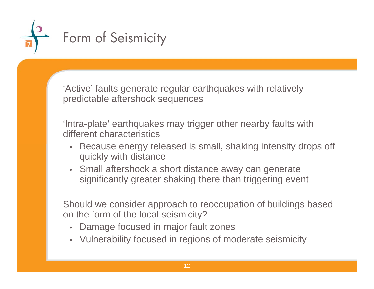

'Active' faults generate regular earthquakes with relatively predictable aftershock sequences

'Intra-plate' earthquakes may trigger other nearby faults with different characteristics

- Because energy released is small, shaking intensity drops off quickly with distance
- Small aftershock a short distance away can generate significantly greater shaking there than triggering event

Should we consider approach to reoccupation of buildings based on the form of the local seismicity?

- Damage focused in major fault zones
- Vulnerability focused in regions of moderate seismicity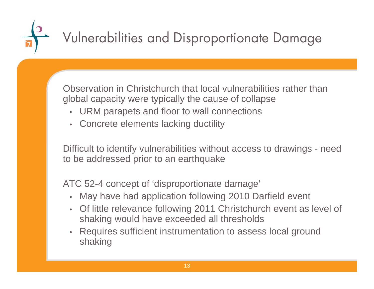## Vulnerabilities and Disproportionate Damage

Observation in Christchurch that local vulnerabilities rather than global capacity were typically the cause of collapse

- URM parapets and floor to wall connections
- Concrete elements lacking ductility

Difficult to identify vulnerabilities without access to drawings - need to be addressed prior to an earthquake

ATC 52-4 concept of 'disproportionate damage'

- May have had application following 2010 Darfield event
- Of little relevance following 2011 Christchurch event as level of shaking would have exceeded all thresholds
- • Requires sufficient instrumentation to assess local ground shaking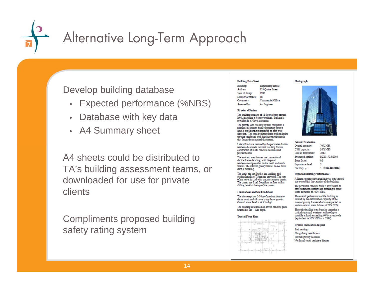

### Alternative Long-Term Approach

### Develop building database

- Expected performance (%NBS)
- Database with key data
- A4 Summary sheet

A4 sheets could be distributed to TA's building assessment teams, or downloaded for use for private clients

Compliments proposed building safety rating system

| <b>Building Data Sheet</b> |                         |
|----------------------------|-------------------------|
| Building:                  | <b>Engineering Hous</b> |
| Address:                   | 123 Quake Street        |
| Year of design:            | 1982                    |
| Number of stories:         | 18.                     |
| Occupancy:                 | Commercial Offi-        |

### Assessed by **Structural System**

The building consists of 18 floors above ground level, including a 3 storey podium. Parking is provided in a 3 level basement.

**An Enginee** 

The gravity load resisting system comprises a reinforced concrete frame supporting precast double tee flooring spanning in an east-west direction. The tees are flange hung with an insitu topping reinforced with hard drawn wire mesh that forms the structural diaphragm

Lateral loads are resisted by the perimeter ductile reinforced concrete moment resisting frames, constructed of insitu concrete columns and precast beams.

The east and west frames use conventional ductile frame detailing, with diagonal reinforcement provided on the north and south frames. The internal gravity frames do not have ductile detailing.

The stairs are not fixed at the landings and seating lengths of 75mm are provided. The rear of the tower is clad with precast concrete panels. The panels are fixed from floor to floor with a sliding detail at the top of the panels.

#### **Foundations and Soil Conditions**

The site comprises 5-10m of medium dense to dense sands and silts overlying dense gravels. Ground water level is at 3.5m bgl.

The building is founded on driven concrete piles, founded at 8m - 12m depth.

### **Typical Floor Plan**







#### **Seismic Evaluation**

| Overall capacity:   | 70% NBS           |
|---------------------|-------------------|
| CSW capacity:       | 30% NBS           |
| Date of assessment: | 2012              |
| Evaluated against:  | NZS1170.5:2004    |
| Zone factor:        | 0 <sub>3</sub>    |
| Importance level:   | J.                |
| Ductility, u:       | (both directions) |

### **Expected Building Performance**

A linear response spectrum analysis was carried out to establish the capacity of the building.

The perimeter concrete MRF's were found to have sufficient capacity and detailing to resist loads in excess of 100% NBS.

The overall performance of the building is limited by the deformation capacity of the internal gravity frames which are expected to sustain column shear failures at 70% NBS.

The stair detailing was found to comprise a critical structural weakness with collapse possible at loads exceeding 60% current code (equivalent to 30% NBS as a CSW).

#### **Critical Elements to Inspect**

Stair seatings Flange hung double tees Internal gravity columns North and south perimeter frames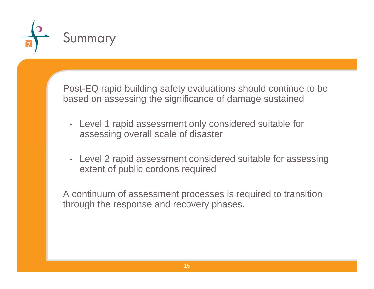

Post-EQ rapid building safety evaluations should continue to be based on assessing the significance of damage sustained

- Level 1 rapid assessment only considered suitable for assessing overall scale of disaster
- Level 2 rapid assessment considered suitable for assessing extent of public cordons required

A continuum of assessment processes is required to transition through the response and recovery phases.